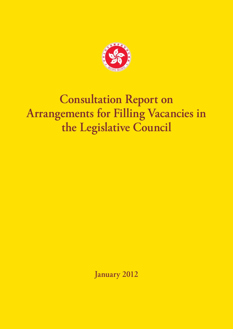

# **Consultation Report on Arrangements for Filling Vacancies in the Legislative Council**

**January 2012**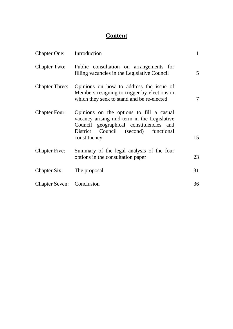# **Content**

| Chapter One: Introduction        |                                                                                                                                                                                               | $\mathbf{1}$   |
|----------------------------------|-----------------------------------------------------------------------------------------------------------------------------------------------------------------------------------------------|----------------|
| <b>Chapter Two:</b>              | Public consultation on arrangements for<br>filling vacancies in the Legislative Council                                                                                                       | 5 <sup>5</sup> |
| <b>Chapter Three:</b>            | Opinions on how to address the issue of<br>Members resigning to trigger by-elections in<br>which they seek to stand and be re-elected                                                         | 7              |
| <b>Chapter Four:</b>             | Opinions on the options to fill a casual<br>vacancy arising mid-term in the Legislative<br>Council geographical constituencies and<br>Council (second) functional<br>District<br>constituency | 15             |
| <b>Chapter Five:</b>             | Summary of the legal analysis of the four<br>options in the consultation paper                                                                                                                | 23             |
| <b>Chapter Six:</b>              | The proposal                                                                                                                                                                                  | 31             |
| <b>Chapter Seven:</b> Conclusion |                                                                                                                                                                                               | 36             |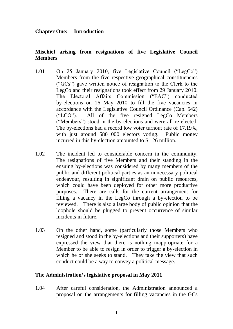## **Chapter One: Introduction**

## **Mischief arising from resignations of five Legislative Council Members**

- 1.01 On 25 January 2010, five Legislative Council ("LegCo") Members from the five respective geographical constituencies ("GCs") gave written notice of resignation to the Clerk to the LegCo and their resignations took effect from 29 January 2010. The Electoral by-elections on 16 May 2010 to fill the five vacancies in ("LCO"). All of the five resigned LegCo Members ("Members") stood in the by-elections and were all re-elected. The by-elections had a record low voter turnout rate of 17.19%, with just around 580 000 electors voting. Public money incurred in this by-election amounted to \$ 126 million. Affairs Commission ("EAC") conducted accordance with the Legislative Council Ordinance (Cap. 542)
- 1.02 The incident led to considerable concern in the community. The resignations of five Members and their standing in the ensuing by-elections was considered by many members of the public and different political parties as an unnecessary political endeavour, resulting in significant drain on public resources, which could have been deployed for other more productive purposes. There are calls for the current arrangement for filling a vacancy in the LegCo through a by-election to be reviewed. There is also a large body of public opinion that the loophole should be plugged to prevent occurrence of similar incidents in future.
- 1.03 On the other hand, some (particularly those Members who expressed the view that there is nothing inappropriate for a Member to be able to resign in order to trigger a by-election in which he or she seeks to stand. They take the view that such resigned and stood in the by-elections and their supporters) have conduct could be a way to convey a political message.

#### **The Administration's legislative proposal in May 2011**

 1.04 After careful consideration, the Administration announced a proposal on the arrangements for filling vacancies in the GCs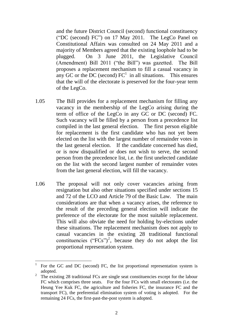and the future District Council (second) functional constituency ("DC (second) FC") on 17 May 2011. The LegCo Panel on Constitutional Affairs was consulted on 24 May 2011 and a majority of Members agreed that the existing loophole had to be (Amendment) Bill 2011 ("the Bill") was gazetted. The Bill proposes a replacement mechanism to fill a casual vacancy in any GC or the DC (second)  $FC<sup>1</sup>$  in all situations. This ensures that the will of the electorate is preserved for the four-year term plugged. On 3 June 2011, the Legislative Council of the LegCo.

- 1.05 The Bill provides for a replacement mechanism for filling any vacancy in the membership of the LegCo arising during the term of office of the LegCo in any GC or DC (second) FC. Such vacancy will be filled by a person from a precedence list compiled in the last general election. The first person eligible for replacement is the first candidate who has not yet been elected on the list with the largest number of remainder votes in the last general election. If the candidate concerned has died, or is now disqualified or does not wish to serve, the second person from the precedence list, i.e. the first unelected candidate on the list with the second largest number of remainder votes from the last general election, will fill the vacancy.
- 1.06 The proposal will not only cover vacancies arising from resignation but also other situations specified under sections 15 and 72 of the LCO and Article 79 of the Basic Law. The main considerations are that when a vacancy arises, the reference to the result of the preceding general election will indicate the preference of the electorate for the most suitable replacement. This will also obviate the need for holding by-elections under This will also obviate the need for holding by-elections under these situations. The replacement mechanism does not apply to casual vacancies in the existing 28 traditional functional constituencies  $("FCs")^2$ , because they do not adopt the list proportional representation system.

-

For the GC and DC (second) FC, the list proportional representation system is adopted.

 $2<sup>2</sup>$  The existing 28 traditional FCs are single seat constituencies except for the labour FC which comprises three seats. For the four FCs with small electorates (i.e. the Heung Yee Kuk FC, the agriculture and fisheries FC, the insurance FC and the transport FC), the preferential elimination system of voting is adopted. For the remaining 24 FCs, the first-past-the-post system is adopted.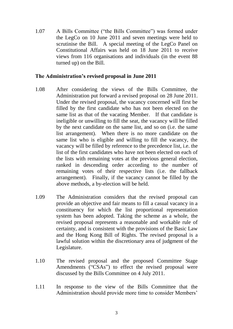1.07 A Bills Committee ("the Bills Committee") was formed under the LegCo on 10 June 2011 and seven meetings were held to scrutinise the Bill. A special meeting of the LegCo Panel on Constitutional Affairs was held on 18 June 2011 to receive views from 116 organisations and individuals (in the event 88 turned up) on the Bill.

### **The Administration's revised proposal in June 2011**

- 1.08 After considering the views of the Bills Committee, the Administration put forward a revised proposal on 28 June 2011. Under the revised proposal, the vacancy concerned will first be filled by the first candidate who has not been elected on the same list as that of the vacating Member. If that candidate is ineligible or unwilling to fill the seat, the vacancy will be filled by the next candidate on the same list, and so on (i.e. the same list arrangement). When there is no more candidate on the same list who is eligible and willing to fill the vacancy, the vacancy will be filled by reference to the precedence list, i.e. the list of the first candidates who have not been elected on each of the lists with remaining votes at the previous general election, ranked in descending order according to the number of remaining votes of their respective lists (i.e. the fallback arrangement). Finally, if the vacancy cannot be filled by the above methods, a by-election will be held.
- 1.09 The Administration considers that the revised proposal can provide an objective and fair means to fill a casual vacancy in a constituency for which the list proportional representation system has been adopted. Taking the scheme as a whole, the revised proposal represents a reasonable and workable rule of certainty, and is consistent with the provisions of the Basic Law and the Hong Kong Bill of Rights. The revised proposal is a lawful solution within the discretionary area of judgment of the Legislature.
- 1.10 The revised proposal and the proposed Committee Stage Amendments ("CSAs") to effect the revised proposal were discussed by the Bills Committee on 4 July 2011.
- 1.11 In response to the view of the Bills Committee that the Administration should provide more time to consider Members'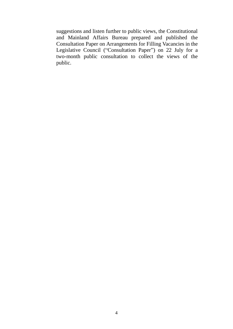suggestions and listen further to public views, the Constitutional and Mainland Affairs Bureau prepared and published the Consultation Paper on Arrangements for Filling Vacancies in the Legislative Council ("Consultation Paper") on 22 July for a two-month public consultation to collect the views of the public.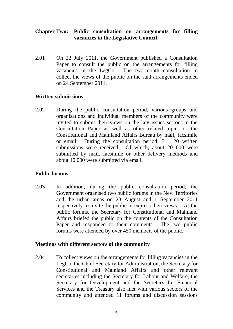## **Chapter Two: Public consultation on arrangements for filling vacancies in the Legislative Council**

2.01 Paper to consult the public on the arrangements for filling vacancies in the LegCo. The two-month consultation to collect the views of the public on the said arrangements ended 2.01 On 22 July 2011, the Government published a Consultation on 24 September 2011.

#### **Written submissions**

 $2.02$  organisations and individual members of the community were invited to submit their views on the key issues set out in the Consultation Paper as well as other related topics to the Constitutional and Mainland Affairs Bureau by mail, facsimile or email. submissions were received. Of which, about 20 000 were submitted by mail, facsimile or other delivery methods and During the public consultation period, various groups and During the consultation period, 31 120 written about 10 000 were submitted via email.

## **Public forums**

2.03 Government organised two public forums in the New Territories and the urban areas on 23 August and 1 September 2011 respectively to invite the public to express their views. At the public forums, the Secretary for Constitutional and Mainland Affairs briefed the public on the contents of the Consultation Paper and responded to their comments. The two public In addition, during the public consultation period, the forums were attended by over 450 members of the public.

## **Meetings with different sectors of the community**

2.04 Constitutional and Mainland Affairs and other relevant secretaries including the Secretary for Labour and Welfare, the Secretary for Development and the Secretary for Financial Services and the Treasury also met with various sectors of the community and attended 11 forums and discussion sessions To collect views on the arrangements for filling vacancies in the LegCo, the Chief Secretary for Administration, the Secretary for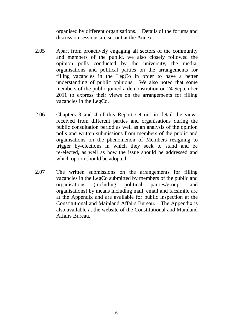organised by different organisations. Details of the forums and discussion sessions are set out at the **Annex**.

- $2.05$  and members of the public, we also closely followed the opinion polls conducted by the university, the media, organisations and political parties on the arrangements for filling vacancies in the LegCo in order to have a better understanding of public opinions. We also noted that some members of the public joined a demonstration on 24 September 2011 to express their views on the arrangements for filling Apart from proactively engaging all sectors of the community vacancies in the LegCo.
- 2.06 Chapters 3 and 4 of this Report set out in detail the views received from different parties and organisations during the public consultation period as well as an analysis of the opinion polls and written submissions from members of the public and organisations on the phenomenon of Members resigning to trigger by-elections in which they seek to stand and be re-elected, as well as how the issue should be addressed and which option should be adopted.
- 2.07 The written submissions on the arrangements for filling vacancies in the LegCo submitted by members of the public and  $(including)$  organisations) by means including mail, email and facsimile are at the Appendix and are available for public inspection at the Constitutional and Mainland Affairs Bureau. The Appendix is also available at the website of the Constitutional and Mainland organisations (including political parties/groups and Affairs Bureau.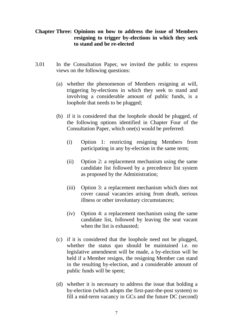## **Chapter Three: Opinions on how to address the issue of Members resigning to trigger by-elections in which they seek to stand and be re-elected**

- 3.01 In the Consultation Paper, we invited the public to express views on the following questions:
	- (a) whether the phenomenon of Members resigning at will, triggering by-elections in which they seek to stand and involving a considerable amount of public funds, is a loophole that needs to be plugged;
	- (b) if it is considered that the loophole should be plugged, of the following options identified in Chapter Four of the Consultation Paper, which one(s) would be preferred:
		- Consultation Paper, which one(s) would be preferred:<br>
		(i) Option 1: restricting resigning Members from participating in any by-election in the same term;
		- (ii) Option 2: a replacement mechanism using the same candidate list followed by a precedence list system as proposed by the Administration;
		- (iii) Option 3: a replacement mechanism which does not cover causal vacancies arising from death, serious illness or other involuntary circumstances;
		- (iv) Option 4: a replacement mechanism using the same candidate list, followed by leaving the seat vacant when the list is exhausted;
	- (c) if it is considered that the loophole need not be plugged, whether the status quo should be maintained i.e. no legislative amendment will be made, a by-election will be held if a Member resigns, the resigning Member can stand in the resulting by-election, and a considerable amount of public funds will be spent;
	- (d) whether it is necessary to address the issue that holding a by-election (which adopts the first-past-the-post system) to fill a mid-term vacancy in GCs and the future DC (second)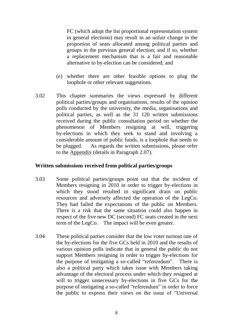FC (which adopt the list proportional representation system in general elections) may result in an unfair change in the proportion of seats allocated among political parties and groups in the previous general election; and if so, whether a replacement mechanism that is a fair and reasonable alternative to by-election can be considered; and

- (e) whether there are other feasible options to plug the loophole or other relevant suggestions.
- 3.02 political parties/groups and organisations, results of the opinion polls conducted by the university, the media, organisations and political parties, as well as the 31 120 written submissions received during the public consultation period on whether the phenomenon of Members resigning at will, triggering by-elections in which they seek to stand and involving a considerable amount of public funds, is a loophole that needs to to the **Appendix** (details in Paragraph 2.07). This chapter summaries the views expressed by different be plugged. As regards the written submissions, please refer

#### **Written submissions received from political parties/groups**

- 3.03 Some political parties/groups point out that the incident of Members resigning in 2010 in order to trigger by-elections in which they stood resulted in significant drain on public resources and adversely affected the operation of the LegCo. They had failed the expectations of the public on Members. There is a risk that the same situation could also happen in respect of the five new DC (second) FC seats created in the next term of the LegCo. The impact will be even greater.
- 3.04 the by-elections for the five GCs held in 2010 and the results of various opinion polls indicate that in general the public do not support Members resigning in order to trigger by-elections for the purpose of instigating a so-called "referendum". There is also a political party which takes issue with Members taking advantage of the electoral process under which they resigned at will to trigger unnecessary by-elections in five GCs for the purpose of instigating a so-called "referendum" in order to force the public to express their views on the issue of "Universal These political parties consider that the low voter turnout rate of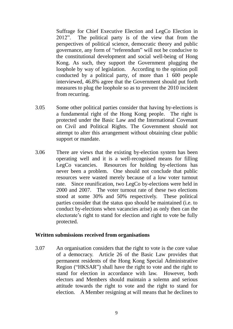Suffrage for Chief Executive Election and LegCo Election in 2012". The political party is of the view that from the perspectives of political science, democratic theory and public governance, any form of "referendum" will not be conducive to the constitutional development and social well-being of Hong Kong. As such, they support the Government plugging the loophole by way of legislation. According to the opinion poll conducted by a political party, of more than 1 600 people interviewed, 46.8% agree that the Government should put forth measures to plug the loophole so as to prevent the 2010 incident from recurring.

- 3.05 Some other political parties consider that having by-elections is a fundamental right of the Hong Kong people. The right is protected under the Basic Law and the International Covenant on Civil and Political Rights. The Government should not attempt to alter this arrangement without obtaining clear public support or mandate.
- 3.06 operating well and it is a well-recognised means for filling LegCo vacancies. Resources for holding by-elections has never been a problem. One should not conclude that public resources were wasted merely because of a low voter turnout 2000 and 2007. The voter turnout rate of these two elections stood at some 30% and 50% respectively. These political parties consider that the status quo should be maintained (i.e. to conduct by-elections when vacancies arise) as only then can the electorate's right to stand for election and right to vote be fully There are views that the existing by-election system has been rate. Since reunification, two LegCo by-elections were held in protected.

#### **Written submissions received from organisations**

3.07 of a democracy. Article 26 of the Basic Law provides that permanent residents of the Hong Kong Special Administrative Region ("HKSAR") shall have the right to vote and the right to stand for election in accordance with law. However, both electors and Members should maintain a solemn and serious attitude towards the right to vote and the right to stand for election. A Member resigning at will means that he declines to An organisation considers that the right to vote is the core value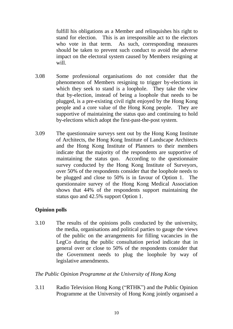fulfill his obligations as a Member and relinquishes his right to stand for election. This is an irresponsible act to the electors who vote in that term. As such, corresponding measures should be taken to prevent such conduct to avoid the adverse impact on the electoral system caused by Members resigning at will.

- 3.08 Some professional organisations do not consider that the phenomenon of Members resigning to trigger by-elections in which they seek to stand is a loophole. They take the view that by-election, instead of being a loophole that needs to be plugged, is a pre-existing civil right enjoyed by the Hong Kong people and a core value of the Hong Kong people. They are supportive of maintaining the status quo and continuing to hold by-elections which adopt the first-past-the-post system.
- 3.09 of Architects, the Hong Kong Institute of Landscape Architects and the Hong Kong Institute of Planners to their members maintaining the status quo. According to the questionnaire survey conducted by the Hong Kong Institute of Surveyors, over 50% of the respondents consider that the loophole needs to be plugged and close to 50% is in favour of Option 1. The questionnaire survey of the Hong Kong Medical Association shows that 44% of the respondents support maintaining the status quo and 42.5% support Option 1. The questionnaire surveys sent out by the Hong Kong Institute indicate that the majority of the respondents are supportive of

## **Opinion polls**

 3.10 The results of the opinions polls conducted by the university, the media, organisations and political parties to gauge the views of the public on the arrangements for filling vacancies in the LegCo during the public consultation period indicate that in general over or close to 50% of the respondents consider that the Government needs to plug the loophole by way of legislative amendments.

## *The Public Opinion Programme at the University of Hong Kong*

 $3.11$  Programme at the University of Hong Kong jointly organised a Radio Television Hong Kong ("RTHK") and the Public Opinion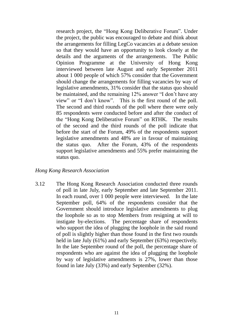research project, the "Hong Kong Deliberative Forum". Under the project, the public was encouraged to debate and think about the arrangements for filling LegCo vacancies at a debate session so that they would have an opportunity to look closely at the details and the arguments of the arrangements. The Public Opinion Programme at the University of Hong Kong interviewed between late August and early September 2011 about 1 000 people of which 57% consider that the Government should change the arrangements for filling vacancies by way of legislative amendments, 31% consider that the status quo should be maintained, and the remaining 12% answer "I don't have any view" or "I don't know". This is the first round of the poll. The second and third rounds of the poll where there were only 85 respondents were conducted before and after the conduct of the "Hong Kong Deliberative Forum" on RTHK. The results of the second and the third rounds of the poll indicate that before the start of the Forum, 49% of the respondents support legislative amendments and 48% are in favour of maintaining the status quo. After the Forum, 43% of the respondents support legislative amendments and 55% prefer maintaining the status quo.

#### *Hong Kong Research Association*

 3.12 The Hong Kong Research Association conducted three rounds of poll in late July, early September and late September 2011. In each round, over 1 000 people were interviewed. In the late Government should introduce legislative amendments to plug the loophole so as to stop Members from resigning at will to who support the idea of plugging the loophole in the said round of poll is slightly higher than those found in the first two rounds held in late July (61%) and early September (63%) respectively. respondents who are against the idea of plugging the loophole by way of legislative amendments is 27%, lower than those September poll, 64% of the respondents consider that the instigate by-elections. The percentage share of respondents In the late September round of the poll, the percentage share of found in late July (33%) and early September (32%).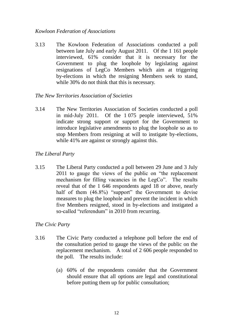### *Kowloon Federation of Associations*

3.13 between late July and early August 2011. Of the 1 161 people interviewed, 61% consider that it is necessary for the Government to plug the loophole by legislating against resignations of LegCo Members which aim at triggering by-elections in which the resigning Members seek to stand, while 30% do not think that this is necessary. The Kowloon Federation of Associations conducted a poll

## *The New Territories Association of Societies*

3.14 in mid-July 2011. Of the 1 075 people interviewed, 51% indicate strong support or support for the Government to introduce legislative amendments to plug the loophole so as to stop Members from resigning at will to instigate by-elections, while 41% are against or strongly against this. The New Territories Association of Societies conducted a poll

## *The Liberal Party*

 3.15 The Liberal Party conducted a poll between 29 June and 3 July 2011 to gauge the views of the public on "the replacement mechanism for filling vacancies in the LegCo". The results reveal that of the 1 646 respondents aged 18 or above, nearly half of them (46.8%) "support" the Government to devise measures to plug the loophole and prevent the incident in which five Members resigned, stood in by-elections and instigated a so-called "referendum" in 2010 from recurring.

## *The Civic Party*

- 3.16 The Civic Party conducted a telephone poll before the end of the consultation period to gauge the views of the public on the replacement mechanism. A total of 2 606 people responded to the poll. The results include:
	- (a) 60% of the respondents consider that the Government should ensure that all options are legal and constitutional before putting them up for public consultation;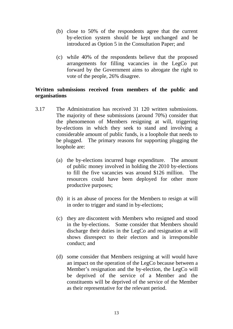- (b) close to 50% of the respondents agree that the current by-election system should be kept unchanged and be introduced as Option 5 in the Consultation Paper; and
- arrangements for filling vacancies in the LegCo put forward by the Government aims to abrogate the right to (c) while 40% of the respondents believe that the proposed vote of the people, 26% disagree.

## **Written submissions received from members of the public and organisations**

- 3.17 The Administration has received 31 120 written submissions. The majority of these submissions (around 70%) consider that the phenomenon of Members resigning at will, triggering by-elections in which they seek to stand and involving a considerable amount of public funds, is a loophole that needs to be plugged. The primary reasons for supporting plugging the loophole are:
	- of public money involved in holding the 2010 by-elections to fill the five vacancies was around \$126 million. The resources could have been deployed for other more (a) the by-elections incurred huge expenditure. The amount productive purposes;
	- (b) it is an abuse of process for the Members to resign at will in order to trigger and stand in by-elections;
	- (c) they are discontent with Members who resigned and stood in the by-elections. Some consider that Members should discharge their duties in the LegCo and resignation at will shows disrespect to their electors and is irresponsible conduct; and
	- (d) some consider that Members resigning at will would have an impact on the operation of the LegCo because between a Member's resignation and the by-election, the LegCo will be deprived of the service of a Member and the constituents will be deprived of the service of the Member as their representative for the relevant period.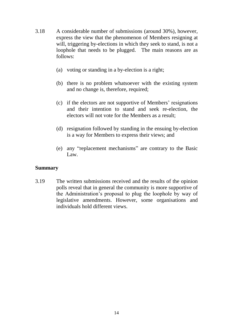- 3.18 express the view that the phenomenon of Members resigning at will, triggering by-elections in which they seek to stand, is not a loophole that needs to be plugged. The main reasons are as follows: A considerable number of submissions (around 30%), however,
	- follows:<br>(a) voting or standing in a by-election is a right;
	- (b) there is no problem whatsoever with the existing system and no change is, therefore, required;
	- (c) if the electors are not supportive of Members' resignations and their intention to stand and seek re-election, the electors will not vote for the Members as a result;
	- (d) resignation followed by standing in the ensuing by-election is a way for Members to express their views; and
	- (e) any "replacement mechanisms" are contrary to the Basic Law.

#### **Summary**

 3.19 The written submissions received and the results of the opinion polls reveal that in general the community is more supportive of the Administration's proposal to plug the loophole by way of legislative amendments. However, some organisations and individuals hold different views.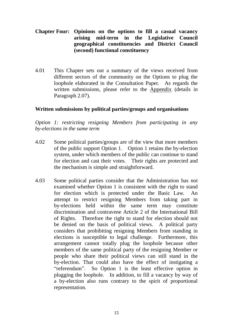## **Chapter Four: Opinions on the options to fill a casual vacancy arising mid-term in the Legislative Council geographical constituencies and District Council (second) functional constituency**

 $4.01$  different sectors of the community on the Options to plug the loophole elaborated in the Consultation Paper. As regards the written submissions, please refer to the Appendix (details in Paragraph 2.07). This Chapter sets out a summary of the views received from

## **Written submissions by political parties/groups and organisations**

 *Option 1: restricting resigning Members from participating in any by-elections in the same term* 

- 4.02 Some political parties/groups are of the view that more members of the public support Option 1. Option 1 retains the by-election system, under which members of the public can continue to stand for election and cast their votes. Their rights are protected and the mechanism is simple and straightforward.
- 4.03 Some political parties consider that the Administration has not examined whether Option 1 is consistent with the right to stand for election which is protected under the Basic Law. An attempt to restrict resigning Members from taking part in by-elections held within the same term may constitute discrimination and contravene Article 2 of the International Bill of Rights. Therefore the right to stand for election should not be denied on the basis of political views. A political party considers that prohibiting resigning Members from standing in elections is susceptible to legal challenge. Furthermore, this arrangement cannot totally plug the loophole because other members of the same political party of the resigning Member or people who share their political views can still stand in the by-election. That could also have the effect of instigating a "referendum". So Option 1 is the least effective option in plugging the loophole. In addition, to fill a vacancy by way of a by-election also runs contrary to the spirit of proportional representation.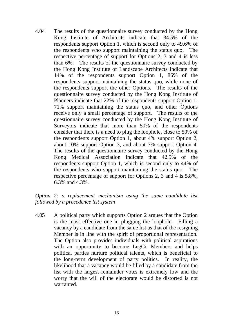4.04 The results of the questionnaire survey conducted by the Hong Kong Institute of Architects indicate that 34.5% of the respondents support Option 1, which is second only to 49.6% of the respondents who support maintaining the status quo. The respective percentage of support for Options 2, 3 and 4 is less than 6%. The results of the questionnaire survey conducted by the Hong Kong Institute of Landscape Architects indicate that 14% of the respondents support Option 1, 86% of the respondents support maintaining the status quo, while none of the respondents support the other Options. The results of the questionnaire survey conducted by the Hong Kong Institute of Planners indicate that 22% of the respondents support Option 1, 71% support maintaining the status quo, and other Options receive only a small percentage of support. The results of the questionnaire survey conducted by the Hong Kong Institute of Surveyors indicate that more than 50% of the respondents the respondents support Option 1, about 4% support Option 2, about 10% support Option 3, and about 7% support Option 4. The results of the questionnaire survey conducted by the Hong Kong Medical Association indicate that 42.5% of the respondents support Option 1, which is second only to 44% of the respondents who support maintaining the status quo. The respective percentage of support for Options 2, 3 and 4 is 5.8%, 6.3% and 4.3%. consider that there is a need to plug the loophole, close to 50% of

#### *Option 2: a replacement mechanism using the same candidate list followed by a precedence list system*

4.05 is the most effective one in plugging the loophole. Filling a vacancy by a candidate from the same list as that of the resigning Member is in line with the spirit of proportional representation. The Option also provides individuals with political aspirations with an opportunity to become LegCo Members and helps political parties nurture political talents, which is beneficial to the long-term development of party politics. In reality, the likelihood that a vacancy would be filled by a candidate from the list with the largest remainder votes is extremely low and the worry that the will of the electorate would be distorted is not A political party which supports Option 2 argues that the Option warranted.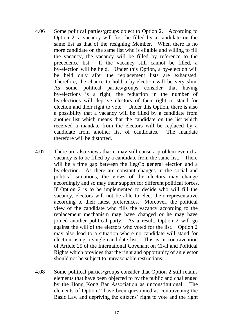- 4.06 Some political parties/groups object to Option 2. According to Option 2, a vacancy will first be filled by a candidate on the same list as that of the resigning Member. When there is no more candidate on the same list who is eligible and willing to fill the vacancy, the vacancy will be filled by reference to the precedence list. If the vacancy still cannot be filled, a by-election will be held. Under this Option, a by-election will be held only after the replacement lists are exhausted. Therefore, the chance to hold a by-election will be very slim. As some political parties/groups consider that having by-elections is a right, the reduction in the number of by-elections will deprive electors of their right to stand for election and their right to vote. Under this Option, there is also a possibility that a vacancy will be filled by a candidate from another list which means that the candidate on the list which received a mandate from the electors will be replaced by a therefore will be distorted. candidate from another list of candidates. The mandate
- 4.07 There are also views that it may still cause a problem even if a vacancy is to be filled by a candidate from the same list. There will be a time gap between the LegCo general election and a by-election. As there are constant changes in the social and political situations, the views of the electors may change accordingly and so may their support for different political forces. If Option 2 is to be implemented to decide who will fill the vacancy, electors will not be able to elect their representative according to their latest preferences. Moreover, the political view of the candidate who fills the vacancy according to the replacement mechanism may have changed or he may have joined another political party. As a result, Option 2 will go against the will of the electors who voted for the list. Option 2 may also lead to a situation where no candidate will stand for election using a single-candidate list. This is in contravention of Article 25 of the International Covenant on Civil and Political Rights which provides that the right and opportunity of an elector should not be subject to unreasonable restrictions.
- 4.08 Some political parties/groups consider that Option 2 still retains elements that have been objected to by the public and challenged by the Hong Kong Bar Association as unconstitutional. The elements of Option 2 have been questioned as contravening the Basic Law and depriving the citizens' right to vote and the right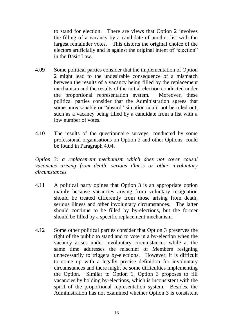to stand for election. There are views that Option 2 involves the filling of a vacancy by a candidate of another list with the largest remainder votes. This distorts the original choice of the electors artificially and is against the original intent of "election" in the Basic Law.

- 4.09 2 might lead to the undesirable consequence of a mismatch between the results of a vacancy being filled by the replacement mechanism and the results of the initial election conducted under the proportional representation system. Moreover, these political parties consider that the Administration agrees that some unreasonable or "absurd" situation could not be ruled out, such as a vacancy being filled by a candidate from a list with a low number of votes. Some political parties consider that the implementation of Option
- 4.10 The results of the questionnaire surveys, conducted by some professional organisations on Option 2 and other Options, could be found in Paragraph 4.04.

 *Option 3: a replacement mechanism which does not cover causal*  vacancies arising from death, serious illness or other involuntary *circumstances* 

- 4.11 mainly because vacancies arising from voluntary resignation should be treated differently from those arising from death, serious illness and other involuntary circumstances. The latter should continue to be filled by by-elections, but the former should be filled by a specific replacement mechanism. A political party opines that Option 3 is an appropriate option
- 4.12 Some other political parties consider that Option 3 preserves the right of the public to stand and to vote in a by-election when the vacancy arises under involuntary circumstances while at the same time addresses the mischief of Members resigning unnecessarily to triggers by-elections. However, it is difficult to come up with a legally precise definition for involuntary circumstances and there might be some difficulties implementing the Option. vacancies by holding by-elections, which is inconsistent with the spirit of the proportional representation system. Besides, the Administration has not examined whether Option 3 is consistent Similar to Option 1, Option 3 proposes to fill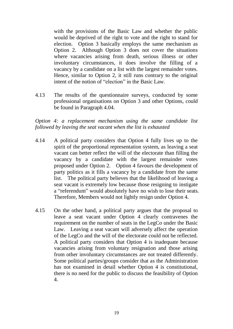with the provisions of the Basic Law and whether the public would be deprived of the right to vote and the right to stand for election. Option 3 basically employs the same mechanism as Option 2. Although Option 3 does not cover the situations where vacancies arising from death, serious illness or other involuntary circumstances, it does involve the filling of a vacancy by a candidate on a list with the largest remainder votes. Hence, similar to Option 2, it still runs contrary to the original intent of the notion of "election" in the Basic Law.

 4.13 The results of the questionnaire surveys, conducted by some professional organisations on Option 3 and other Options, could be found in Paragraph 4.04.

 *Option 4: a replacement mechanism using the same candidate list followed by leaving the seat vacant when the list is exhausted* 

- 4.14 A political party considers that Option 4 fully lives up to the spirit of the proportional representation system, as leaving a seat vacant can better reflect the will of the electorate than filling the vacancy by a candidate with the largest remainder votes proposed under Option 2. Option 4 favours the development of party politics as it fills a vacancy by a candidate from the same list. The political party believes that the likelihood of leaving a seat vacant is extremely low because those resigning to instigate a "referendum" would absolutely have no wish to lose their seats. Therefore, Members would not lightly resign under Option 4.
- 4.15 leave a seat vacant under Option 4 clearly contravenes the requirement on the number of seats in the LegCo under the Basic Law. Leaving a seat vacant will adversely affect the operation of the LegCo and the will of the electorate could not be reflected. A political party considers that Option 4 is inadequate because vacancies arising from voluntary resignation and those arising from other involuntary circumstances are not treated differently. Some political parties/groups consider that as the Administration has not examined in detail whether Option 4 is constitutional, there is no need for the public to discuss the feasibility of Option On the other hand, a political party argues that the proposal to 4.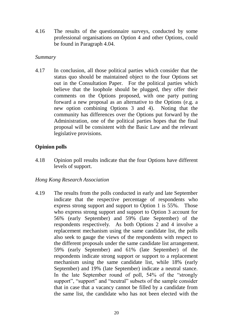4.16 The results of the questionnaire surveys, conducted by some professional organisations on Option 4 and other Options, could be found in Paragraph 4.04.

#### *Summary*

4.17 status quo should be maintained object to the four Options set out in the Consultation Paper. For the political parties which comments on the Options proposed, with one party putting forward a new proposal as an alternative to the Options (e.g. a new option combining Options 3 and 4). Noting that the community has differences over the Options put forward by the Administration, one of the political parties hopes that the final proposal will be consistent with the Basic Law and the relevant In conclusion, all those political parties which consider that the believe that the loophole should be plugged, they offer their legislative provisions.

## **Opinion polls**

4.18 4.18 Opinion poll results indicate that the four Options have different levels of support.

## *Hong Kong Research Association*

 4.19 The results from the polls conducted in early and late September express strong support and support to Option 1 is 55%. Those who express strong support and support to Option 3 account for 56% (early September) and 59% (late September) of the respondents respectively. As both Options 2 and 4 involve a replacement mechanism using the same candidate list, the polls also seek to gauge the views of the respondents with respect to the different proposals under the same candidate list arrangement. 59% (early September) and 61% (late September) of the respondents indicate strong support or support to a replacement mechanism using the same candidate list, while 18% (early September) and 19% (late September) indicate a neutral stance. that in case that a vacancy cannot be filled by a candidate from the same list, the candidate who has not been elected with the indicate that the respective percentage of respondents who In the late September round of poll, 54% of the "strongly support", "support" and "neutral" subsets of the sample consider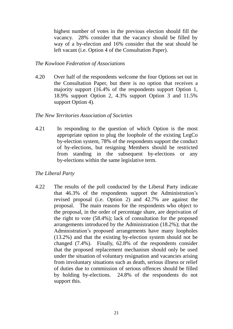highest number of votes in the previous election should fill the vacancy. 28% consider that the vacancy should be filled by way of a by-election and 16% consider that the seat should be left vacant (i.e. Option 4 of the Consultation Paper).

#### *The Kowloon Federation of Associations*

4.20 Over half of the respondents welcome the four Options set out in the Consultation Paper, but there is no option that receives a majority support (16.4% of the respondents support Option 1, 18.9% support Option 2, 4.3% support Option 3 and 11.5% support Option 4).

#### *The New Territories Association of Societies*

4 2 1 appropriate option to plug the loophole of the existing LegCo by-election system, 78% of the respondents support the conduct of by-elections, but resigning Members should be restricted from standing in the subsequent by-elections or any In responding to the question of which Option is the most by-elections within the same legislative term.

## *The Liberal Party*

4.22 The results of the poll conducted by the Liberal Party indicate that 46.3% of the respondents support the Administration's revised proposal (i.e. Option 2) and 42.7% are against the proposal. The main reasons for the respondents who object to the proposal, in the order of percentage share, are deprivation of the right to vote (58.4%); lack of consultation for the proposed arrangements introduced by the Administration (18.2%); that the Administration's proposed arrangements have many loopholes (13.2%) and that the existing by-election system should not be changed (7.4%). Finally, 62.8% of the respondents consider that the proposed replacement mechanism should only be used under the situation of voluntary resignation and vacancies arising from involuntary situations such as death, serious illness or relief of duties due to commission of serious offences should be filled by holding by-elections. 24.8% of the respondents do not support this.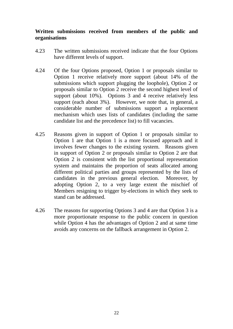## **Written submissions received from members of the public and organisations**

- 4.23 The written submissions received indicate that the four Options have different levels of support.
- 4.24 Of the four Options proposed, Option 1 or proposals similar to Option 1 receive relatively more support (about 14% of the submissions which support plugging the loophole), Option 2 or proposals similar to Option 2 receive the second highest level of support (about 10%). Options 3 and 4 receive relatively less support (each about 3%). However, we note that, in general, a considerable number of submissions support a replacement mechanism which uses lists of candidates (including the same candidate list and the precedence list) to fill vacancies.
- 4.25 Option 1 are that Option 1 is a more focused approach and it involves fewer changes to the existing system. Reasons given in support of Option 2 or proposals similar to Option 2 are that Option 2 is consistent with the list proportional representation system and maintains the proportion of seats allocated among different political parties and groups represented by the lists of candidates in the previous general election. Moreover, by adopting Option 2, to a very large extent the mischief of Members resigning to trigger by-elections in which they seek to stand can be addressed. Reasons given in support of Option 1 or proposals similar to
- 4.26 The reasons for supporting Options 3 and 4 are that Option 3 is a more proportionate response to the public concern in question while Option 4 has the advantages of Option 2 and at same time avoids any concerns on the fallback arrangement in Option 2.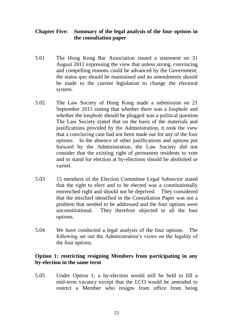## **Chapter Five: Summary of the legal analysis of the four options in the consultation paper**

- 5.01 The Hong Kong Bar Association issued a statement on 31 August 2011 expressing the view that unless strong, convincing and compelling reasons could be advanced by the Government, the status quo should be maintained and no amendments should be made to the current legislation to change the electoral system.
- 5.02 The Law Society of Hong Kong made a submission on 21 September 2011 stating that whether there was a loophole and whether the loophole should be plugged was a political question. The Law Society stated that on the basis of the materials and justifications provided by the Administration, it took the view that a convincing case had not been made out for any of the four options. In the absence of other justifications and options put forward by the Administration, the Law Society did not consider that the existing right of permanent residents to vote and to stand for election at by-elections should be abolished or varied.
- 5.03 that the right to elect and to be elected was a constitutionally entrenched right and should not be deprived. They considered that the mischief identified in the Consultation Paper was not a problem that needed to be addressed and the four options were 15 members of the Election Committee Legal Subsector stated unconstitutional. They therefore objected to all the four options.
- 5.04 We have conducted a legal analysis of the four options. The following set out the Administration's views on the legality of the four options.

## **Option 1: restricting resigning Members from participating in any by-election in the same term**

 5.05 Under Option 1, a by-election would still be held to fill a mid-term vacancy except that the LCO would be amended to restrict a Member who resigns from office from being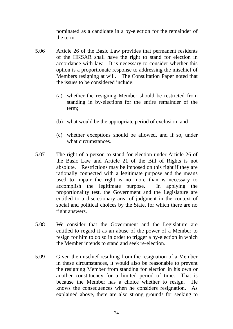nominated as a candidate in a by-election for the remainder of the term.

- 5.06 Article 26 of the Basic Law provides that permanent residents of the HKSAR shall have the right to stand for election in accordance with law. It is necessary to consider whether this option is a proportionate response to addressing the mischief of Members resigning at will. The Consultation Paper noted that the issues to be considered include:
	- (a) whether the resigning Member should be restricted from standing in by-elections for the entire remainder of the term;
	- (b) what would be the appropriate period of exclusion; and
	- (c) whether exceptions should be allowed, and if so, under what circumstances.
- 5.07 The right of a person to stand for election under Article 26 of the Basic Law and Article 21 of the Bill of Rights is not absolute. Restrictions may be imposed on this right if they are rationally connected with a legitimate purpose and the means used to impair the right is no more than is necessary to proportionality test, the Government and the Legislature are entitled to a discretionary area of judgment in the context of social and political choices by the State, for which there are no accomplish the legitimate purpose. In applying the right answers.
- 5.08 We consider that the Government and the Legislature are entitled to regard it as an abuse of the power of a Member to resign for him to do so in order to trigger a by-election in which the Member intends to stand and seek re-election.
- 5.09 in these circumstances, it would also be reasonable to prevent the resigning Member from standing for election in his own or another constituency for a limited period of time. That is because the Member has a choice whether to resign. He knows the consequences when he considers resignation. As explained above, there are also strong grounds for seeking to Given the mischief resulting from the resignation of a Member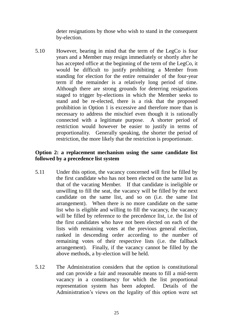deter resignations by those who wish to stand in the consequent by-election.

 5.10 However, bearing in mind that the term of the LegCo is four years and a Member may resign immediately or shortly after he has accepted office at the beginning of the term of the LegCo, it would be difficult to justify prohibiting a Member from standing for election for the entire remainder of the four-year term if the remainder is a relatively long period of time. Although there are strong grounds for deterring resignations staged to trigger by-elections in which the Member seeks to stand and be re-elected, there is a risk that the proposed prohibition in Option 1 is excessive and therefore more than is necessary to address the mischief even though it is rationally connected with a legitimate purpose. A shorter period of restriction would however be easier to justify in terms of proportionality. Generally speaking, the shorter the period of restriction, the more likely that the restriction is proportionate.

## **Option 2: a replacement mechanism using the same candidate list followed by a precedence list system**

- 5.11 the first candidate who has not been elected on the same list as that of the vacating Member. If that candidate is ineligible or unwilling to fill the seat, the vacancy will be filled by the next candidate on the same list, and so on (i.e. the same list arrangement). When there is no more candidate on the same list who is eligible and willing to fill the vacancy, the vacancy will be filled by reference to the precedence list, i.e. the list of the first candidates who have not been elected on each of the lists with remaining votes at the previous general election, ranked in descending order according to the number of remaining votes of their respective lists (i.e. the fallback arrangement). Finally, if the vacancy cannot be filled by the above methods, a by-election will be held. Under this option, the vacancy concerned will first be filled by
- 5.12 The Administration considers that the option is constitutional and can provide a fair and reasonable means to fill a mid-term vacancy in a constituency for which the list proportional representation system has been adopted. Details of the Administration's views on the legality of this option were set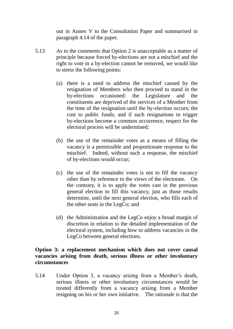out in Annex V to the Consultation Paper and summarised in paragraph 4.14 of the paper.

- 5.13 principle because forced by-elections are not a mischief and the right to vote in a by-election cannot be removed, we would like As to the comments that Option 2 is unacceptable as a matter of to stress the following points:
	- (a) there is a need to address the mischief caused by the resignation of Members who then proceed to stand in the and constituents are deprived of the services of a Member from the time of the resignation until the by-election occurs; the cost to public funds; and if such resignations to trigger by-elections occasioned: the Legislature and the by-elections become a common occurrence, respect for the electoral process will be undermined;
	- (b) the use of the remainder votes as a means of filling the vacancy is a permissible and proportionate response to the mischief. Indeed, without such a response, the mischief of by-elections would occur;
	- (c) the use of the remainder votes is not to fill the vacancy other than by reference to the views of the electorate. On the contrary, it is to apply the votes cast in the previous general election to fill this vacancy, just as those results determine, until the next general election, who fills each of the other seats in the LegCo; and
	- (d) the Administration and the LegCo enjoy a broad margin of discretion in relation to the detailed implementation of the electoral system, including how to address vacancies in the LegCo between general elections.

## **Option 3: a replacement mechanism which does not cover causal vacancies arising from death, serious illness or other involuntary circumstances**

 5.14 Under Option 3, a vacancy arising from a Member's death, serious illness or other involuntary circumstances would be treated differently from a vacancy arising from a Member resigning on his or her own initiative. The rationale is that the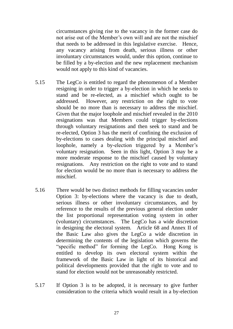circumstances giving rise to the vacancy in the former case do not arise out of the Member's own will and are not the mischief that needs to be addressed in this legislative exercise. Hence, any vacancy arising from death, serious illness or other be filled by a by-election and the new replacement mechanism involuntary circumstances would, under this option, continue to would not apply to this kind of vacancies.

- 5.15 The LegCo is entitled to regard the phenomenon of a Member resigning in order to trigger a by-election in which he seeks to stand and be re-elected, as a mischief which ought to be addressed. However, any restriction on the right to vote should be no more than is necessary to address the mischief. Given that the major loophole and mischief revealed in the 2010 resignations was that Members could trigger by-elections through voluntary resignations and then seek to stand and be re-elected, Option 3 has the merit of confining the exclusion of by-elections to cases dealing with the principal mischief and loophole, namely a by-election triggered by a Member's voluntary resignation. Seen in this light, Option 3 may be a more moderate response to the mischief caused by voluntary resignations. Any restriction on the right to vote and to stand for election would be no more than is necessary to address the mischief.
- 5.16 There would be two distinct methods for filling vacancies under Option 3: by-elections where the vacancy is due to death, serious illness or other involuntary circumstances, and by reference to the results of the previous general election under the list proportional representation voting system in other (voluntary) circumstances. The LegCo has a wide discretion in designing the electoral system. Article 68 and Annex II of the Basic Law also gives the LegCo a wide discretion in determining the contents of the legislation which governs the "specific method" for forming the LegCo. Hong Kong is entitled to develop its own electoral system within the framework of the Basic Law in light of its historical and political developments provided that the right to vote and to stand for election would not be unreasonably restricted.
- 5.17 If Option 3 is to be adopted, it is necessary to give further consideration to the criteria which would result in a by-election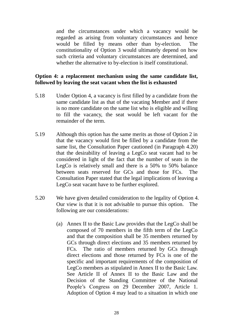and the circumstances under which a vacancy would be regarded as arising from voluntary circumstances and hence would be filled by means other than by-election. The constitutionality of Option 3 would ultimately depend on how such criteria and voluntary circumstances are determined, and whether the alternative to by-election is itself constitutional.

## **Option 4: a replacement mechanism using the same candidate list, followed by leaving the seat vacant when the list is exhausted**

- 5.18 Under Option 4, a vacancy is first filled by a candidate from the same candidate list as that of the vacating Member and if there is no more candidate on the same list who is eligible and willing to fill the vacancy, the seat would be left vacant for the remainder of the term.
- 5.19 Although this option has the same merits as those of Option 2 in that the vacancy would first be filled by a candidate from the same list, the Consultation Paper cautioned (in Paragraph 4.20) that the desirability of leaving a LegCo seat vacant had to be considered in light of the fact that the number of seats in the LegCo is relatively small and there is a 50% to 50% balance between seats reserved for GCs and those for FCs. The Consultation Paper stated that the legal implications of leaving a LegCo seat vacant have to be further explored.
- 5.20 We have given detailed consideration to the legality of Option 4. Our view is that it is not advisable to pursue this option. The following are our considerations:
	- (a) Annex II to the Basic Law provides that the LegCo shall be composed of 70 members in the fifth term of the LegCo and that the composition shall be 35 members returned by GCs through direct elections and 35 members returned by FCs. The ratio of members returned by GCs through direct elections and those returned by FCs is one of the specific and important requirements of the composition of LegCo members as stipulated in Annex II to the Basic Law. LegCo members as stipulated in Annex II to the Basic Law. See Article II of Annex II to the Basic Law and the Decision of the Standing Committee of the National People's Congress on 29 December 2007, Article 1. Adoption of Option 4 may lead to a situation in which one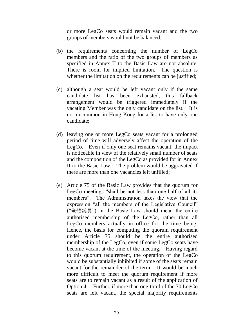or more LegCo seats would remain vacant and the two groups of members would not be balanced:

- members and the ratio of the two groups of members as specified in Annex II to the Basic Law are not absolute. There is room for implied limitation. The question is whether the limitation on the requirements can be justified; (b) the requirements concerning the number of  $LegCo$
- whether the limitation on the requirements can be justified;<br>(c) although a seat would be left vacant only if the same candidate list has arrangement would be triggered immediately if the vacating Member was the only candidate on the list. It is not uncommon in Hong Kong for a list to have only one candidate: been exhausted, this fallback
- candidate;<br>(d) leaving one or more LegCo seats vacant for a prolonged period of time will adversely affect the operation of the LegCo. Even if only one seat remains vacant, the impact is noticeable in view of the relatively small number of seats II to the Basic Law. The problem would be aggravated if there are more than one vacancies left unfilled; and the composition of the LegCo as provided for in Annex
- (e) Article 75 of the Basic Law provides that the quorum for LegCo meetings "shall be not less than one half of all its members". The Administration takes the view that the expression "all the members of the Legislative Council" ("全體議員") in the Basic Law should mean the entire authorised membership of the LegCo, rather than all LegCo members actually in office for the time being. Hence, the basis for computing the quorum requirement under Article 75 should be the entire authorised membership of the LegCo, even if some LegCo seats have become vacant at the time of the meeting. Having regard to this quorum requirement, the operation of the LegCo would be substantially inhibited if some of the seats remain vacant for the remainder of the term. It would be much more difficult to meet the quorum requirement if more seats are to remain vacant as a result of the application of Option 4. Further, if more than one-third of the 70 LegCo seats are left vacant, the special majority requirements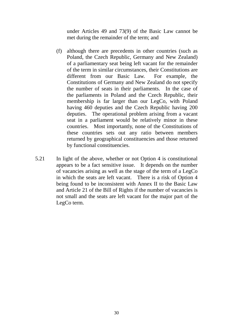under Articles 49 and 73(9) of the Basic Law cannot be met during the remainder of the term; and

- (f) although there are precedents in other countries (such as Poland, the Czech Republic, Germany and New Zealand) of a parliamentary seat being left vacant for the remainder of the term in similar circumstances, their Constitutions are different from our Basic Law. For example, the Constitutions of Germany and New Zealand do not specify the number of seats in their parliaments. In the case of the parliaments in Poland and the Czech Republic, their membership is far larger than our LegCo, with Poland having 460 deputies and the Czech Republic having 200 deputies. The operational problem arising from a vacant seat in a parliament would be relatively minor in these countries. Most importantly, none of the Constitutions of these countries sets out any ratio between members returned by geographical constituencies and those returned by functional constituencies.
- 5.21 appears to be a fact sensitive issue. It depends on the number of vacancies arising as well as the stage of the term of a LegCo in which the seats are left vacant. There is a risk of Option 4 being found to be inconsistent with Annex II to the Basic Law and Article 21 of the Bill of Rights if the number of vacancies is not small and the seats are left vacant for the major part of the LegCo term. In light of the above, whether or not Option 4 is constitutional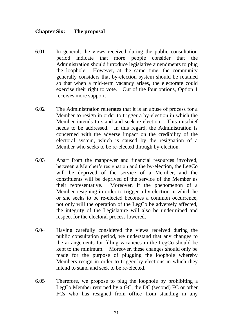#### **Chapter Six: The proposal**

- $6.01$  period indicate that more people consider that the Administration should introduce legislative amendments to plug generally considers that by-election system should be retained so that when a mid-term vacancy arises, the electorate could exercise their right to vote. Out of the four options, Option 1 In general, the views received during the public consultation the loophole. However, at the same time, the community receives more support.
- 6.02 The Administration reiterates that it is an abuse of process for a Member to resign in order to trigger a by-election in which the Member intends to stand and seek re-election. This mischief needs to be addressed. In this regard, the Administration is concerned with the adverse impact on the credibility of the electoral system, which is caused by the resignation of a Member who seeks to be re-elected through by-election.
- $6.03$  between a Member's resignation and the by-election, the LegCo will be deprived of the service of a Member, and the constituents will be deprived of the service of the Member as their representative. Member resigning in order to trigger a by-election in which he or she seeks to be re-elected becomes a common occurrence, not only will the operation of the LegCo be adversely affected, the integrity of the Legislature will also be undermined and Apart from the manpower and financial resources involved, Moreover, if the phenomenon of a respect for the electoral process lowered.
- 6.04 public consultation period, we understand that any changes to the arrangements for filling vacancies in the LegCo should be kept to the minimum. Moreover, these changes should only be made for the purpose of plugging the loophole whereby Members resign in order to trigger by-elections in which they intend to stand and seek to be re-elected. Having carefully considered the views received during the
- 6.05 Therefore, we propose to plug the loophole by prohibiting a LegCo Member returned by a GC, the DC (second) FC or other FCs who has resigned from office from standing in any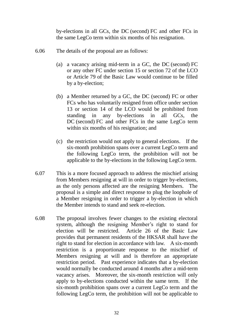by-elections in all GCs, the DC (second) FC and other FCs in the same LegCo term within six months of his resignation.

- 6.06 The details of the proposal are as follows:
	- (a) a vacancy arising mid-term in a GC, the DC (second) FC or any other FC under section 15 or section 72 of the LCO or Article 79 of the Basic Law would continue to be filled by a by-election;
	- by a by-election;<br>(b) a Member returned by a GC, the DC (second) FC or other FCs who has voluntarily resigned from office under section 13 or section 14 of the LCO would be prohibited from standing DC (second) FC and other FCs in the same LegCo term within six months of his resignation; and in any by-elections in all GCs, the
	- (c) the restriction would not apply to general elections. If the six-month prohibition spans over a current LegCo term and the following LegCo term, the prohibition will not be applicable to the by-elections in the following LegCo term.
- $6.07$  from Members resigning at will in order to trigger by-elections, as the only persons affected are the resigning Members. The proposal is a simple and direct response to plug the loophole of a Member resigning in order to trigger a by-election in which This is a more focused approach to address the mischief arising the Member intends to stand and seek re-election.
- 6.08 The proposal involves fewer changes to the existing electoral system, although the resigning Member's right to stand for election will be restricted. provides that permanent residents of the HKSAR shall have the right to stand for election in accordance with law. A six-month restriction is a proportionate response to the mischief of Members resigning at will and is therefore an appropriate restriction period. Past experience indicates that a by-election would normally be conducted around 4 months after a mid-term vacancy arises. Moreover, the six-month restriction will only apply to by-elections conducted within the same term. If the six-month prohibition spans over a current LegCo term and the following LegCo term, the prohibition will not be applicable to Article 26 of the Basic Law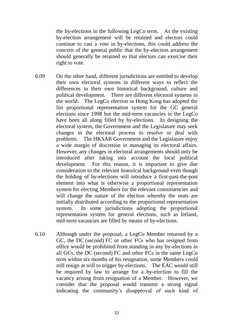the by-elections in the following LegCo term. As the existing by-election arrangement will be retained and electors could continue to cast a vote in by-elections, this could address the concern of the general public that the by-election arrangement should generally be retained so that electors can exercise their right to vote.

- 6.09 their own electoral systems in different ways to reflect the differences in their own historical background, culture and political development. There are different electoral systems in the world. The LegCo election in Hong Kong has adopted the list proportional representation system for the GC general elections since 1998 but the mid-term vacancies in the LegCo have been all along filled by by-elections. In designing the electoral system, the Government and the Legislature may seek changes in the electoral process to resolve or deal with a wide margin of discretion in managing its electoral affairs. However, any changes in electoral arrangements should only be introduced after taking into account the local political development. For this reason, it is important to give due consideration to the relevant historical background even though the holding of by-elections will introduce a first-past-the-post element into what is otherwise a proportional representation system for electing Members for the relevant constituencies and will change the nature of the election whereby the seats are initially distributed according to the proportional representation system. representation system for general elections, such as Ireland, On the other hand, different jurisdictions are entitled to develop problems. The HKSAR Government and the Legislature enjoy In some jurisdictions adopting the proportional mid-term vacancies are filled by means of by-elections.
- 6.10 Although under the proposal, a LegCo Member returned by a GC, the DC (second) FC or other FCs who has resigned from office would be prohibited from standing in any by-elections in all GCs, the DC (second) FC and other FCs in the same LegCo term within six months of his resignation, some Members could still resign at will to trigger by-elections. The EAC would still be required by law to arrange for a by-election to fill the vacancy arising from resignation of a Member. However, we consider that the proposal would transmit a strong signal indicating the community's disapproval of such kind of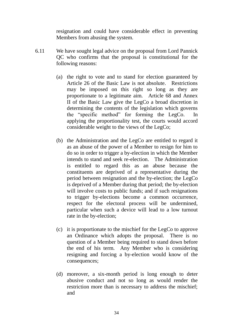resignation and could have considerable effect in preventing Members from abusing the system.

- 6.11 We have sought legal advice on the proposal from Lord Pannick QC who confirms that the proposal is constitutional for the following reasons:
	- (a) the right to vote and to stand for election guaranteed by Article 26 of the Basic Law is not absolute. Restrictions may be imposed on this right so long as they are proportionate to a legitimate aim. Article 68 and Annex II of the Basic Law give the LegCo a broad discretion in determining the contents of the legislation which governs applying the proportionality test, the courts would accord the "specific method" for forming the LegCo. In considerable weight to the views of the LegCo;
	- (b) the Administration and the LegCo are entitled to regard it as an abuse of the power of a Member to resign for him to do so in order to trigger a by-election in which the Member intends to stand and seek re-election. The Administration is entitled to regard this as an abuse because the constituents are deprived of a representative during the period between resignation and the by-election; the LegCo is deprived of a Member during that period; the by-election will involve costs to public funds; and if such resignations respect for the electoral process will be undermined, particular when such a device will lead to a low turnout to trigger by-elections become a common occurrence, rate in the by-election;
	- (c) it is proportionate to the mischief for the LegCo to approve an Ordinance which adopts the proposal. There is no question of a Member being required to stand down before the end of his term. Any Member who is considering resigning and forcing a by-election would know of the consequences;
	- (d) moreover, a six-month period is long enough to deter abusive conduct and not so long as would render the restriction more than is necessary to address the mischief; and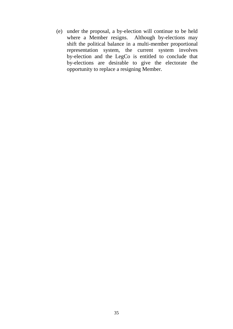(e) under the proposal, a by-election will continue to be held where a Member resigns. Although by-elections may shift the political balance in a multi-member proportional representation system, the current system involves by-election and the LegCo is entitled to conclude that by-elections are desirable to give the electorate the opportunity to replace a resigning Member.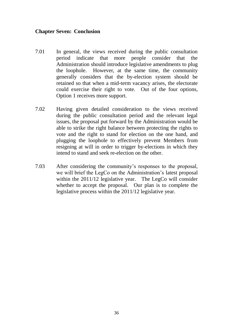## **Chapter Seven: Conclusion**

- 7.01 period indicate that more people consider that the Administration should introduce legislative amendments to plug the loophole. However, at the same time, the community generally considers that the by-election system should be retained so that when a mid-term vacancy arises, the electorate could exercise their right to vote. Out of the four options, In general, the views received during the public consultation Option 1 receives more support.
- $7.02$  during the public consultation period and the relevant legal issues, the proposal put forward by the Administration would be able to strike the right balance between protecting the rights to vote and the right to stand for election on the one hand, and plugging the loophole to effectively prevent Members from resigning at will in order to trigger by-elections in which they intend to stand and seek re-election on the other. Having given detailed consideration to the views received
- 7.03 After considering the community's responses to the proposal, we will brief the LegCo on the Administration's latest proposal within the 2011/12 legislative year. The LegCo will consider whether to accept the proposal. Our plan is to complete the legislative process within the 2011/12 legislative year.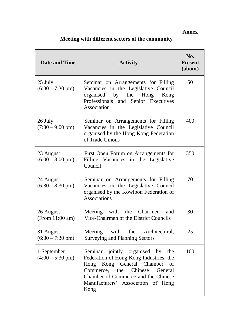## **Annex**

# **Meeting with different sectors of the community**

| <b>Date and Time</b>                      | <b>Activity</b>                                                                                                                                                                                                                   | No.<br><b>Present</b><br>(about) |
|-------------------------------------------|-----------------------------------------------------------------------------------------------------------------------------------------------------------------------------------------------------------------------------------|----------------------------------|
| 25 July<br>$(6:30 - 7:30 \text{ pm})$     | Seminar on Arrangements for Filling<br>Vacancies in the Legislative Council<br>organised by the Hong Kong<br>Professionals and Senior Executives<br>Association                                                                   | 50                               |
| 26 July<br>$(7:30 - 9:00 \text{ pm})$     | Seminar on Arrangements for Filling<br>Vacancies in the Legislative Council<br>organised by the Hong Kong Federation<br>of Trade Unions                                                                                           | 400                              |
| 23 August<br>$(6:00 - 8:00 \text{ pm})$   | First Open Forum on Arrangements for<br>Filling Vacancies in the Legislative<br>Council                                                                                                                                           | 350                              |
| 24 August<br>$(6:30 - 8:30 \text{ pm})$   | Seminar on Arrangements for Filling<br>Vacancies in the Legislative Council<br>organised by the Kowloon Federation of<br><b>Associations</b>                                                                                      | 70                               |
| 26 August<br>(From 11:00 am)              | Meeting with the Chairmen and<br>Vice-Chairmen of the District Councils                                                                                                                                                           | 30                               |
| 31 August<br>$(6:30 - 7:30 \text{ pm})$   | Meeting with the Architectural,<br><b>Surveying and Planning Sectors</b>                                                                                                                                                          | 25                               |
| 1 September<br>$(4:00 - 5:30 \text{ pm})$ | Seminar jointly organised by the<br>Federation of Hong Kong Industries, the<br>Hong Kong General Chamber of<br>Commerce, the Chinese General<br>Chamber of Commerce and the Chinese<br>Manufacturers' Association of Hong<br>Kong | 100                              |